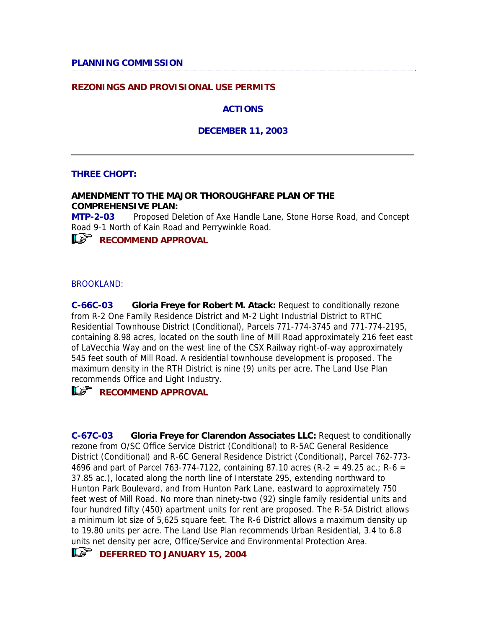#### **PLANNING COMMISSION**

#### **REZONINGS AND PROVISIONAL USE PERMITS**

#### **ACTIONS**

#### **DECEMBER 11, 2003**

#### **THREE CHOPT:**

#### **AMENDMENT TO THE MAJOR THOROUGHFARE PLAN OF THE COMPREHENSIVE PLAN:**

**MTP-2-03** Proposed Deletion of Axe Handle Lane, Stone Horse Road, and Concept Road 9-1 North of Kain Road and Perrywinkle Road.

*RECOMMEND APPROVAL* 

#### BROOKLAND:

**C-66C-03 Gloria Freye for Robert M. Atack:** Request to conditionally rezone from R-2 One Family Residence District and M-2 Light Industrial District to RTHC Residential Townhouse District (Conditional), Parcels 771-774-3745 and 771-774-2195, containing 8.98 acres, located on the south line of Mill Road approximately 216 feet east of LaVecchia Way and on the west line of the CSX Railway right-of-way approximately 545 feet south of Mill Road. A residential townhouse development is proposed. The maximum density in the RTH District is nine (9) units per acre. The Land Use Plan recommends Office and Light Industry.

**RECOMMEND APPROVAL** 

**C-67C-03 Gloria Freye for Clarendon Associates LLC:** Request to conditionally rezone from O/SC Office Service District (Conditional) to R-5AC General Residence District (Conditional) and R-6C General Residence District (Conditional), Parcel 762-773- 4696 and part of Parcel 763-774-7122, containing 87.10 acres (R-2 = 49.25 ac.; R-6 = 37.85 ac.), located along the north line of Interstate 295, extending northward to Hunton Park Boulevard, and from Hunton Park Lane, eastward to approximately 750 feet west of Mill Road. No more than ninety-two (92) single family residential units and four hundred fifty (450) apartment units for rent are proposed. The R-5A District allows a minimum lot size of 5,625 square feet. The R-6 District allows a maximum density up to 19.80 units per acre. The Land Use Plan recommends Urban Residential, 3.4 to 6.8 units net density per acre, Office/Service and Environmental Protection Area.

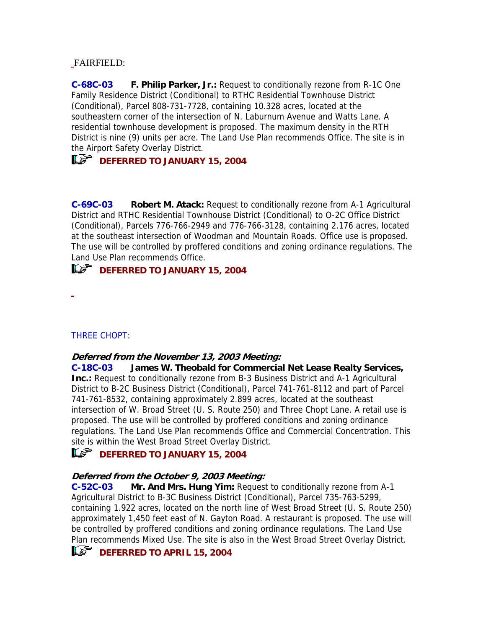### FAIRFIELD:

**C-68C-03 F. Philip Parker, Jr.:** Request to conditionally rezone from R-1C One Family Residence District (Conditional) to RTHC Residential Townhouse District (Conditional), Parcel 808-731-7728, containing 10.328 acres, located at the southeastern corner of the intersection of N. Laburnum Avenue and Watts Lane. A residential townhouse development is proposed. The maximum density in the RTH District is nine (9) units per acre. The Land Use Plan recommends Office. The site is in the Airport Safety Overlay District.

# **IF DEFERRED TO JANUARY 15, 2004**

**C-69C-03 Robert M. Atack:** Request to conditionally rezone from A-1 Agricultural District and RTHC Residential Townhouse District (Conditional) to O-2C Office District (Conditional), Parcels 776-766-2949 and 776-766-3128, containing 2.176 acres, located at the southeast intersection of Woodman and Mountain Roads. Office use is proposed. The use will be controlled by proffered conditions and zoning ordinance regulations. The Land Use Plan recommends Office.

### **ILS<sup>\*</sup>** DEFERRED TO JANUARY 15, 2004

L.

### THREE CHOPT:

### **Deferred from the November 13, 2003 Meeting:**

**C-18C-03 James W. Theobald for Commercial Net Lease Realty Services, Inc.:** Request to conditionally rezone from B-3 Business District and A-1 Agricultural District to B-2C Business District (Conditional), Parcel 741-761-8112 and part of Parcel 741-761-8532, containing approximately 2.899 acres, located at the southeast intersection of W. Broad Street (U. S. Route 250) and Three Chopt Lane. A retail use is proposed. The use will be controlled by proffered conditions and zoning ordinance regulations. The Land Use Plan recommends Office and Commercial Concentration. This site is within the West Broad Street Overlay District.

### **DEFERRED TO JANUARY 15, 2004**

### **Deferred from the October 9, 2003 Meeting:**

**C-52C-03 Mr. And Mrs. Hung Yim:** Request to conditionally rezone from A-1 Agricultural District to B-3C Business District (Conditional), Parcel 735-763-5299, containing 1.922 acres, located on the north line of West Broad Street (U. S. Route 250) approximately 1,450 feet east of N. Gayton Road. A restaurant is proposed. The use will be controlled by proffered conditions and zoning ordinance regulations. The Land Use Plan recommends Mixed Use. The site is also in the West Broad Street Overlay District.

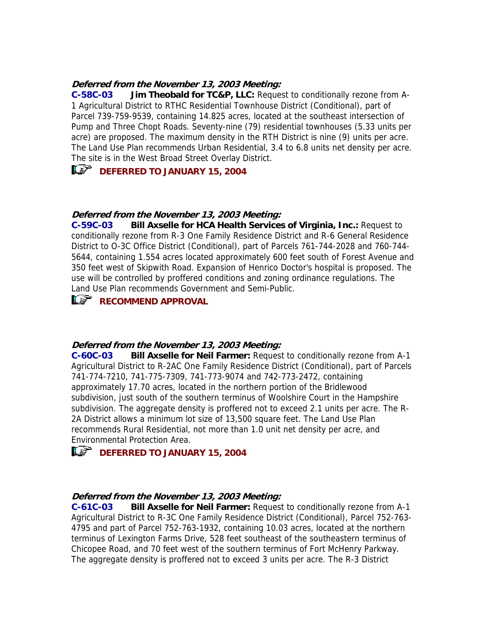#### **Deferred from the November 13, 2003 Meeting:**

**C-58C-03 Jim Theobald for TC&P, LLC:** Request to conditionally rezone from A-1 Agricultural District to RTHC Residential Townhouse District (Conditional), part of Parcel 739-759-9539, containing 14.825 acres, located at the southeast intersection of Pump and Three Chopt Roads. Seventy-nine (79) residential townhouses (5.33 units per acre) are proposed. The maximum density in the RTH District is nine (9) units per acre. The Land Use Plan recommends Urban Residential, 3.4 to 6.8 units net density per acre. The site is in the West Broad Street Overlay District.

### **IF DEFERRED TO JANUARY 15, 2004**

### **Deferred from the November 13, 2003 Meeting:**

**C-59C-03 Bill Axselle for HCA Health Services of Virginia, Inc.:** Request to conditionally rezone from R-3 One Family Residence District and R-6 General Residence District to O-3C Office District (Conditional), part of Parcels 761-744-2028 and 760-744- 5644, containing 1.554 acres located approximately 600 feet south of Forest Avenue and 350 feet west of Skipwith Road. Expansion of Henrico Doctor's hospital is proposed. The use will be controlled by proffered conditions and zoning ordinance regulations. The Land Use Plan recommends Government and Semi-Public.

### *RECOMMEND APPROVAL*

#### **Deferred from the November 13, 2003 Meeting:**

**C-60C-03 Bill Axselle for Neil Farmer:** Request to conditionally rezone from A-1 Agricultural District to R-2AC One Family Residence District (Conditional), part of Parcels 741-774-7210, 741-775-7309, 741-773-9074 and 742-773-2472, containing approximately 17.70 acres, located in the northern portion of the Bridlewood subdivision, just south of the southern terminus of Woolshire Court in the Hampshire subdivision. The aggregate density is proffered not to exceed 2.1 units per acre. The R-2A District allows a minimum lot size of 13,500 square feet. The Land Use Plan recommends Rural Residential, not more than 1.0 unit net density per acre, and Environmental Protection Area.

### **ILS** DEFERRED TO JANUARY 15, 2004

#### **Deferred from the November 13, 2003 Meeting:**

**C-61C-03 Bill Axselle for Neil Farmer:** Request to conditionally rezone from A-1 Agricultural District to R-3C One Family Residence District (Conditional), Parcel 752-763- 4795 and part of Parcel 752-763-1932, containing 10.03 acres, located at the northern terminus of Lexington Farms Drive, 528 feet southeast of the southeastern terminus of Chicopee Road, and 70 feet west of the southern terminus of Fort McHenry Parkway. The aggregate density is proffered not to exceed 3 units per acre. The R-3 District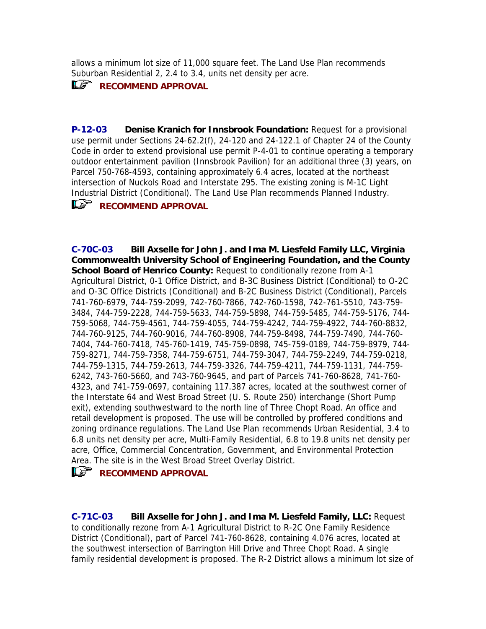allows a minimum lot size of 11,000 square feet. The Land Use Plan recommends Suburban Residential 2, 2.4 to 3.4, units net density per acre.

### **RECOMMEND APPROVAL**

**P-12-03 Denise Kranich for Innsbrook Foundation:** Request for a provisional use permit under Sections 24-62.2(f), 24-120 and 24-122.1 of Chapter 24 of the County Code in order to extend provisional use permit P-4-01 to continue operating a temporary outdoor entertainment pavilion (Innsbrook Pavilion) for an additional three (3) years, on Parcel 750-768-4593, containing approximately 6.4 acres, located at the northeast intersection of Nuckols Road and Interstate 295. The existing zoning is M-1C Light Industrial District (Conditional). The Land Use Plan recommends Planned Industry.

### **RECOMMEND APPROVAL**

**C-70C-03 Bill Axselle for John J. and Ima M. Liesfeld Family LLC, Virginia Commonwealth University School of Engineering Foundation, and the County School Board of Henrico County:** Request to conditionally rezone from A-1 Agricultural District, 0-1 Office District, and B-3C Business District (Conditional) to O-2C and O-3C Office Districts (Conditional) and B-2C Business District (Conditional), Parcels 741-760-6979, 744-759-2099, 742-760-7866, 742-760-1598, 742-761-5510, 743-759- 3484, 744-759-2228, 744-759-5633, 744-759-5898, 744-759-5485, 744-759-5176, 744- 759-5068, 744-759-4561, 744-759-4055, 744-759-4242, 744-759-4922, 744-760-8832, 744-760-9125, 744-760-9016, 744-760-8908, 744-759-8498, 744-759-7490, 744-760- 7404, 744-760-7418, 745-760-1419, 745-759-0898, 745-759-0189, 744-759-8979, 744- 759-8271, 744-759-7358, 744-759-6751, 744-759-3047, 744-759-2249, 744-759-0218, 744-759-1315, 744-759-2613, 744-759-3326, 744-759-4211, 744-759-1131, 744-759- 6242, 743-760-5660, and 743-760-9645, and part of Parcels 741-760-8628, 741-760- 4323, and 741-759-0697, containing 117.387 acres, located at the southwest corner of the Interstate 64 and West Broad Street (U. S. Route 250) interchange (Short Pump exit), extending southwestward to the north line of Three Chopt Road. An office and retail development is proposed. The use will be controlled by proffered conditions and zoning ordinance regulations. The Land Use Plan recommends Urban Residential, 3.4 to 6.8 units net density per acre, Multi-Family Residential, 6.8 to 19.8 units net density per acre, Office, Commercial Concentration, Government, and Environmental Protection Area. The site is in the West Broad Street Overlay District.

### *RECOMMEND APPROVAL*

**C-71C-03 Bill Axselle for John J. and Ima M. Liesfeld Family, LLC:** Request to conditionally rezone from A-1 Agricultural District to R-2C One Family Residence District (Conditional), part of Parcel 741-760-8628, containing 4.076 acres, located at the southwest intersection of Barrington Hill Drive and Three Chopt Road. A single family residential development is proposed. The R-2 District allows a minimum lot size of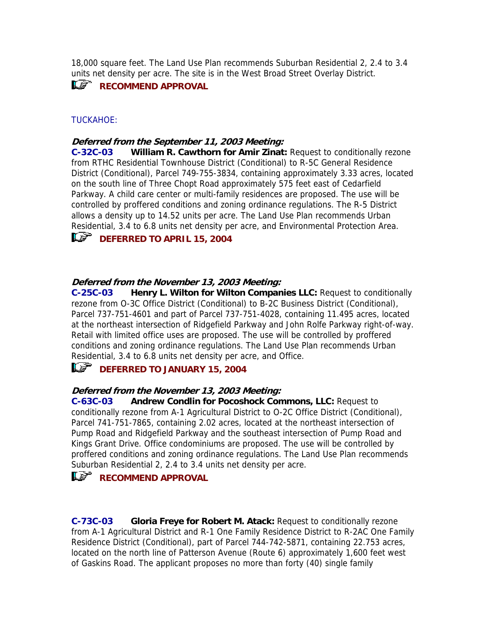18,000 square feet. The Land Use Plan recommends Suburban Residential 2, 2.4 to 3.4 units net density per acre. The site is in the West Broad Street Overlay District.

### **RECOMMEND APPROVAL**

#### TUCKAHOE:

#### **Deferred from the September 11, 2003 Meeting:**

**C-32C-03** William R. Cawthorn for Amir Zinat: Request to conditionally rezone District (Conditional), Parcel 749-755-3834, containing approximately 3.33 acres, located Parkway. A child care center or multi-family residences are proposed. The use will be Residential, 3.4 to 6.8 units net density per acre, and Environmental Protection Area. from RTHC Residential Townhouse District (Conditional) to R-5C General Residence on the south line of Three Chopt Road approximately 575 feet east of Cedarfield controlled by proffered conditions and zoning ordinance regulations. The R-5 District allows a density up to 14.52 units per acre. The Land Use Plan recommends Urban



#### **Deferred from the November 13, 2003 Meeting:**

**C-25C-03** Henry L. Wilton for Wilton Companies LLC: Request to conditionally Parcel 737-751-4601 and part of Parcel 737-751-4028, containing 11.495 acres, located rezone from O-3C Office District (Conditional) to B-2C Business District (Conditional), at the northeast intersection of Ridgefield Parkway and John Rolfe Parkway right-of-way. Retail with limited office uses are proposed. The use will be controlled by proffered conditions and zoning ordinance regulations. The Land Use Plan recommends Urban Residential, 3.4 to 6.8 units net density per acre, and Office.

### **DEFERRED TO JANUARY 15, 2004**

#### **Deferred from the November 13, 2003 Meeting:**

C-63C-03 Andrew Condlin for Pocoshock Commons, LLC: Request to conditionally rezone from A-1 Agricultural District to O-2C Office District (Conditional), proffered conditions and zoning ordinance regulations. The Land Use Plan recommends Parcel 741-751-7865, containing 2.02 acres, located at the northeast intersection of Pump Road and Ridgefield Parkway and the southeast intersection of Pump Road and Kings Grant Drive. Office condominiums are proposed. The use will be controlled by Suburban Residential 2, 2.4 to 3.4 units net density per acre.

## *RECOMMEND APPROVAL*

**C-73C-03 Gloria Freye for Robert M. Atack:** Request to conditionally rezone from A-1 Agricultural District and R-1 One Family Residence District to R-2AC One Family Residence District (Conditional), part of Parcel 744-742-5871, containing 22.753 acres, located on the north line of Patterson Avenue (Route 6) approximately 1,600 feet west of Gaskins Road. The applicant proposes no more than forty (40) single family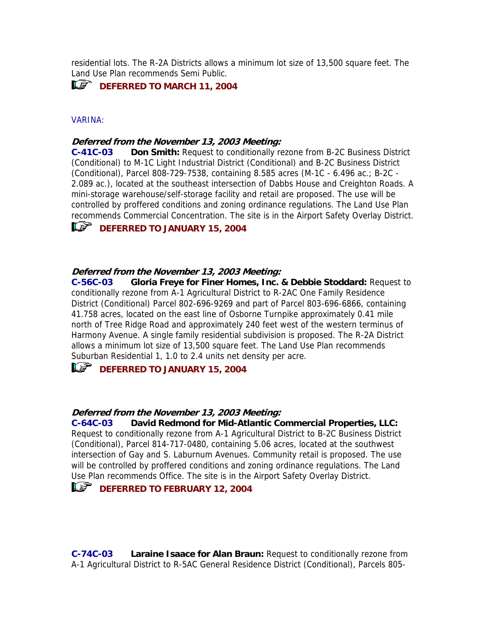residential lots. The R-2A Districts allows a minimum lot size of 13,500 square f eet. The Land Use Plan recommends Semi Public.

### **ILS** DEFERRED TO MARCH 11, 2004

#### **VARINA:**

#### **from the November 13, 2003 Meeting: Deferred**

**C-41C-03 Don Smith:** Request to conditionally rezone from B-2C Business District (Conditional) to M-1C Light Industrial District (Conditional) and B-2C Business District 2.089 ac.), located at the southeast intersection of Dabbs House and Creighton Roads. A (Conditional), Parcel 808-729-7538, containing 8.585 acres (M-1C - 6.496 ac.; B-2C mini-storage warehouse/self-storage facility and retail are proposed. The use will be controlled by proffered conditions and zoning ordinance regulations. The Land Use Plan recommends Commercial Concentration. The site is in the Airport Safety Overlay District.

# **IF DEFERRED TO JANUARY 15, 2004**

### **eferred from the November 13, 2003 Meeting: D**

**C-56C-03 Gloria Freye for Finer Homes, Inc. & Debbie Stoddard:** Request to conditionally rezone from A-1 Agricultural District to R-2AC One Family Residence District (Conditional) Parcel 802-696-9269 and part of Parcel 803-696-6866, containing 41.758 acres, located on the east line of Osborne Turnpike approximately 0.41 mile north of Tree Ridge Road and approximately 240 feet west of the western terminus of Harmony Avenue. A single family residential subdivision is proposed. The R-2A District allows a minimum lot size of 13,500 square feet. The Land Use Plan recommends Suburban Residential 1, 1.0 to 2.4 units net density per acre.

### **DEFERRED TO JANUARY 15, 2004**

### **eferred from the November 13, 2003 Meeting: D**

**C-64C-03 David Redmond for Mid-Atlantic Commercial Properties, LLC:** Request to conditionally rezone from A-1 Agricultural District to B-2C Business District (Conditional), Parcel 814-717-0480, containing 5.06 acres, located at the southwest intersection of Gay and S. Laburnum Avenues. Community retail is proposed. The use will be controlled by proffered conditions and zoning ordinance regulations. The Land Use Plan recommends Office. The site is in the Airport Safety Overlay District.

### **DEFERRED TO FEBRUARY 12, 2004**

**Laraine Isaace for Alan Braun: Request to conditionally rezone from** A-1 Agricultural District to R-5AC General Residence District (Conditional), Parcels 805- **C**